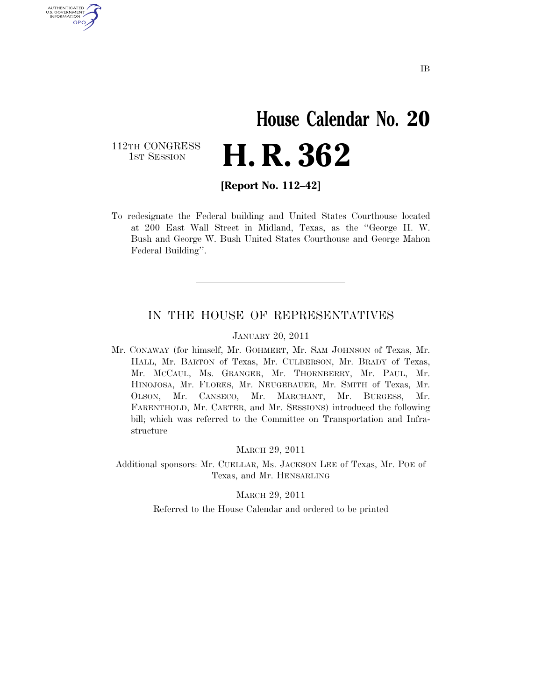# **House Calendar No. 20**  H. R. 362

112TH CONGRESS<br>1st Session

U.S. GOVERNMENT GPO

**[Report No. 112–42]** 

To redesignate the Federal building and United States Courthouse located at 200 East Wall Street in Midland, Texas, as the ''George H. W. Bush and George W. Bush United States Courthouse and George Mahon Federal Building''.

#### IN THE HOUSE OF REPRESENTATIVES

JANUARY 20, 2011

Mr. CONAWAY (for himself, Mr. GOHMERT, Mr. SAM JOHNSON of Texas, Mr. HALL, Mr. BARTON of Texas, Mr. CULBERSON, Mr. BRADY of Texas, Mr. MCCAUL, Ms. GRANGER, Mr. THORNBERRY, Mr. PAUL, Mr. HINOJOSA, Mr. FLORES, Mr. NEUGEBAUER, Mr. SMITH of Texas, Mr. OLSON, Mr. CANSECO, Mr. MARCHANT, Mr. BURGESS, Mr. FARENTHOLD, Mr. CARTER, and Mr. SESSIONS) introduced the following bill; which was referred to the Committee on Transportation and Infrastructure

MARCH 29, 2011

Additional sponsors: Mr. CUELLAR, Ms. JACKSON LEE of Texas, Mr. POE of Texas, and Mr. HENSARLING

MARCH 29, 2011

Referred to the House Calendar and ordered to be printed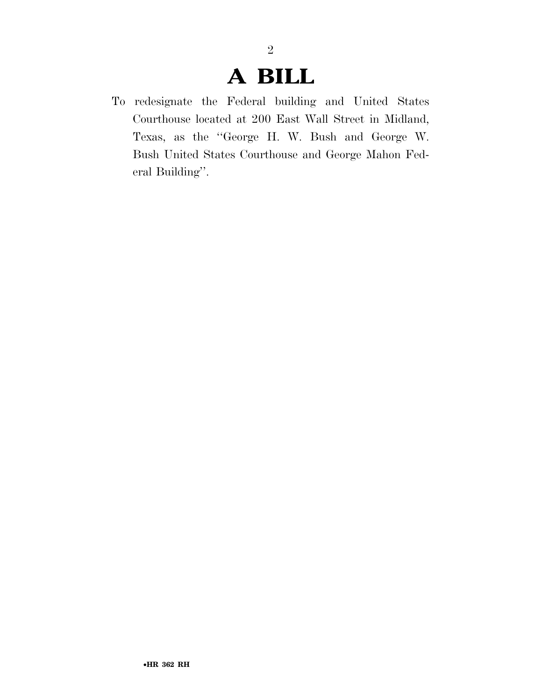## **A BILL**

2

To redesignate the Federal building and United States Courthouse located at 200 East Wall Street in Midland, Texas, as the ''George H. W. Bush and George W. Bush United States Courthouse and George Mahon Federal Building''.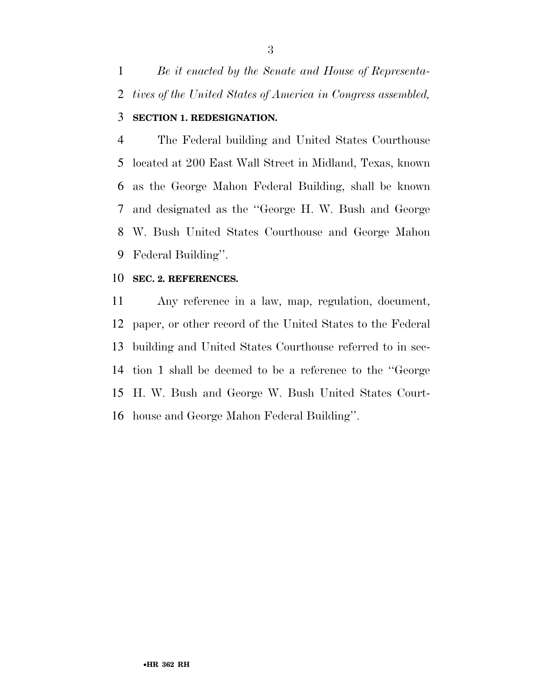*Be it enacted by the Senate and House of Representa-tives of the United States of America in Congress assembled,* 

### **SECTION 1. REDESIGNATION.**

 The Federal building and United States Courthouse located at 200 East Wall Street in Midland, Texas, known as the George Mahon Federal Building, shall be known and designated as the ''George H. W. Bush and George W. Bush United States Courthouse and George Mahon Federal Building''.

### **SEC. 2. REFERENCES.**

 Any reference in a law, map, regulation, document, paper, or other record of the United States to the Federal building and United States Courthouse referred to in sec- tion 1 shall be deemed to be a reference to the ''George H. W. Bush and George W. Bush United States Court-house and George Mahon Federal Building''.